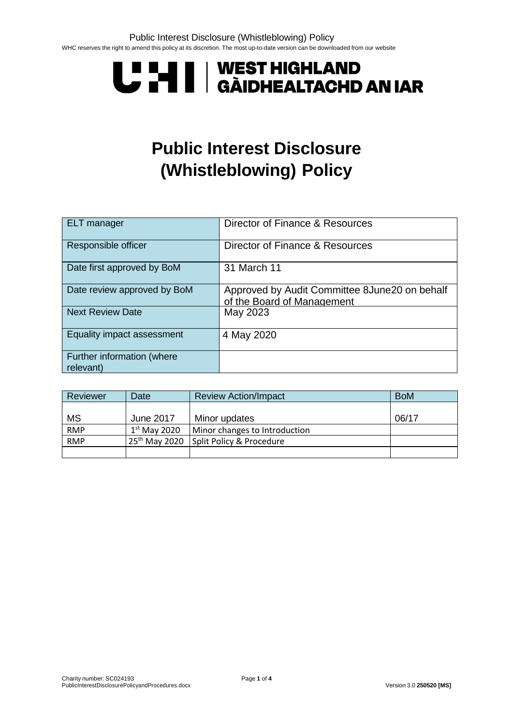Public Interest Disclosure (Whistleblowing) Policy WHC reserves the right to amend this policy at its discretion. The most up-to-date version can be downloaded from our website

# **U "HI | WEST HIGHLAND<br>U THI | GÀIDHEALTACHD AN IAR**

## **Public Interest Disclosure (Whistleblowing) Policy**

| <b>ELT</b> manager                      | Director of Finance & Resources                                             |
|-----------------------------------------|-----------------------------------------------------------------------------|
| Responsible officer                     | Director of Finance & Resources                                             |
| Date first approved by BoM              | 31 March 11                                                                 |
| Date review approved by BoM             | Approved by Audit Committee 8June20 on behalf<br>of the Board of Management |
| <b>Next Review Date</b>                 | May 2023                                                                    |
| Equality impact assessment              | 4 May 2020                                                                  |
| Further information (where<br>relevant) |                                                                             |

| Reviewer   | Date               | <b>Review Action/Impact</b>   | <b>BoM</b> |
|------------|--------------------|-------------------------------|------------|
|            |                    |                               |            |
| <b>MS</b>  | June 2017          | Minor updates                 | 06/17      |
| <b>RMP</b> | $1st$ May 2020     | Minor changes to Introduction |            |
| <b>RMP</b> | $25^{th}$ May 2020 | Split Policy & Procedure      |            |
|            |                    |                               |            |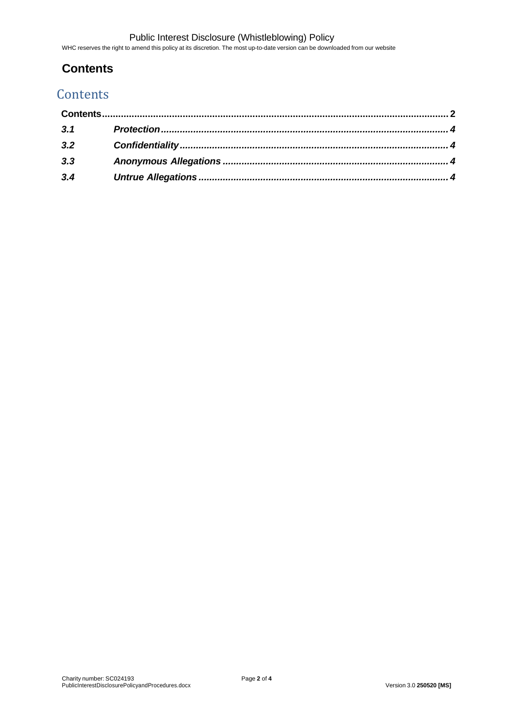#### Public Interest Disclosure (Whistleblowing) Policy

WHC reserves the right to amend this policy at its discretion. The most up-to-date version can be downloaded from our website

### <span id="page-1-0"></span>**Contents**

## **Contents**

| 3.1 |  |
|-----|--|
| 3.2 |  |
| 3.3 |  |
| 3.4 |  |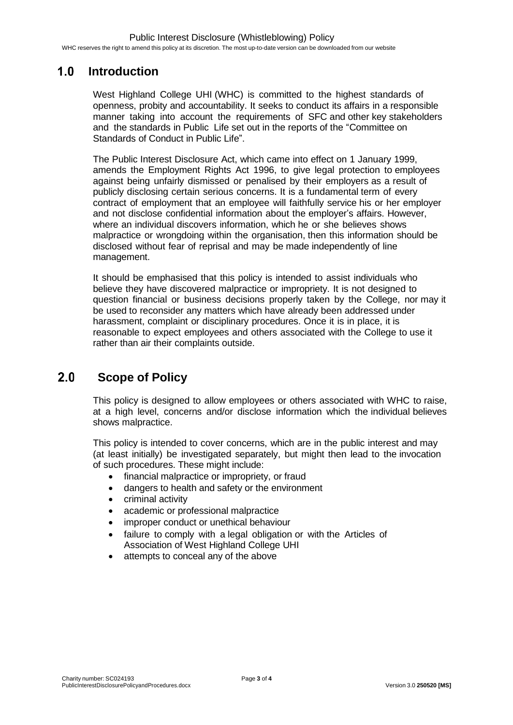## **Introduction**

West Highland College UHI (WHC) is committed to the highest standards of openness, probity and accountability. It seeks to conduct its affairs in a responsible manner taking into account the requirements of SFC and other key stakeholders and the standards in Public Life set out in the reports of the "Committee on Standards of Conduct in Public Life".

The Public Interest Disclosure Act, which came into effect on 1 January 1999, amends the Employment Rights Act 1996, to give legal protection to employees against being unfairly dismissed or penalised by their employers as a result of publicly disclosing certain serious concerns. It is a fundamental term of every contract of employment that an employee will faithfully service his or her employer and not disclose confidential information about the employer's affairs. However, where an individual discovers information, which he or she believes shows malpractice or wrongdoing within the organisation, then this information should be disclosed without fear of reprisal and may be made independently of line management.

It should be emphasised that this policy is intended to assist individuals who believe they have discovered malpractice or impropriety. It is not designed to question financial or business decisions properly taken by the College, nor may it be used to reconsider any matters which have already been addressed under harassment, complaint or disciplinary procedures. Once it is in place, it is reasonable to expect employees and others associated with the College to use it rather than air their complaints outside.

## **Scope of Policy**

This policy is designed to allow employees or others associated with WHC to raise, at a high level, concerns and/or disclose information which the individual believes shows malpractice.

This policy is intended to cover concerns, which are in the public interest and may (at least initially) be investigated separately, but might then lead to the invocation of such procedures. These might include:

- financial malpractice or impropriety, or fraud
- dangers to health and safety or the environment
- criminal activity
- academic or professional malpractice
- improper conduct or unethical behaviour
- failure to comply with a legal obligation or with the Articles of Association of West Highland College UHI
- attempts to conceal any of the above